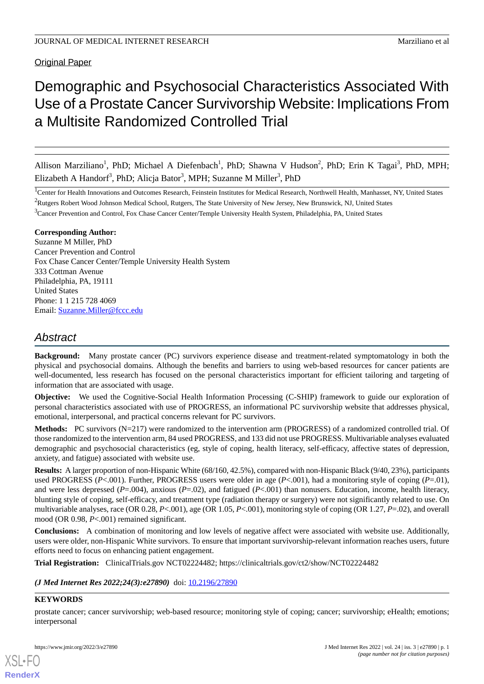**Original Paper** 

# Demographic and Psychosocial Characteristics Associated With Use of a Prostate Cancer Survivorship Website: Implications From a Multisite Randomized Controlled Trial

Allison Marziliano<sup>1</sup>, PhD; Michael A Diefenbach<sup>1</sup>, PhD; Shawna V Hudson<sup>2</sup>, PhD; Erin K Tagai<sup>3</sup>, PhD, MPH; Elizabeth A Handorf<sup>3</sup>, PhD; Alicja Bator<sup>3</sup>, MPH; Suzanne M Miller<sup>3</sup>, PhD

<sup>1</sup>Center for Health Innovations and Outcomes Research, Feinstein Institutes for Medical Research, Northwell Health, Manhasset, NY, United States <sup>2</sup>Rutgers Robert Wood Johnson Medical School, Rutgers, The State University of New Jersey, New Brunswick, NJ, United States

<sup>3</sup>Cancer Prevention and Control, Fox Chase Cancer Center/Temple University Health System, Philadelphia, PA, United States

#### **Corresponding Author:**

Suzanne M Miller, PhD Cancer Prevention and Control Fox Chase Cancer Center/Temple University Health System 333 Cottman Avenue Philadelphia, PA, 19111 United States Phone: 1 1 215 728 4069 Email: [Suzanne.Miller@fccc.edu](mailto:Suzanne.Miller@fccc.edu)

# *Abstract*

**Background:** Many prostate cancer (PC) survivors experience disease and treatment-related symptomatology in both the physical and psychosocial domains. Although the benefits and barriers to using web-based resources for cancer patients are well-documented, less research has focused on the personal characteristics important for efficient tailoring and targeting of information that are associated with usage.

**Objective:** We used the Cognitive-Social Health Information Processing (C-SHIP) framework to guide our exploration of personal characteristics associated with use of PROGRESS, an informational PC survivorship website that addresses physical, emotional, interpersonal, and practical concerns relevant for PC survivors.

**Methods:** PC survivors (N=217) were randomized to the intervention arm (PROGRESS) of a randomized controlled trial. Of those randomized to the intervention arm, 84 used PROGRESS, and 133 did not use PROGRESS. Multivariable analyses evaluated demographic and psychosocial characteristics (eg, style of coping, health literacy, self-efficacy, affective states of depression, anxiety, and fatigue) associated with website use.

**Results:** A larger proportion of non-Hispanic White (68/160, 42.5%), compared with non-Hispanic Black (9/40, 23%), participants used PROGRESS ( $P<.001$ ). Further, PROGRESS users were older in age ( $P<.001$ ), had a monitoring style of coping ( $P=.01$ ), and were less depressed (*P*=.004), anxious (*P*=.02), and fatigued (*P*<.001) than nonusers. Education, income, health literacy, blunting style of coping, self-efficacy, and treatment type (radiation therapy or surgery) were not significantly related to use. On multivariable analyses, race (OR 0.28, *P*<.001), age (OR 1.05, *P*<.001), monitoring style of coping (OR 1.27, *P*=.02), and overall mood (OR 0.98, *P*<.001) remained significant.

**Conclusions:** A combination of monitoring and low levels of negative affect were associated with website use. Additionally, users were older, non-Hispanic White survivors. To ensure that important survivorship-relevant information reaches users, future efforts need to focus on enhancing patient engagement.

**Trial Registration:** ClinicalTrials.gov NCT02224482; https://clinicaltrials.gov/ct2/show/NCT02224482

#### *(J Med Internet Res 2022;24(3):e27890)* doi:  $10.2196/27890$

#### **KEYWORDS**

[XSL](http://www.w3.org/Style/XSL)•FO **[RenderX](http://www.renderx.com/)**

prostate cancer; cancer survivorship; web-based resource; monitoring style of coping; cancer; survivorship; eHealth; emotions; interpersonal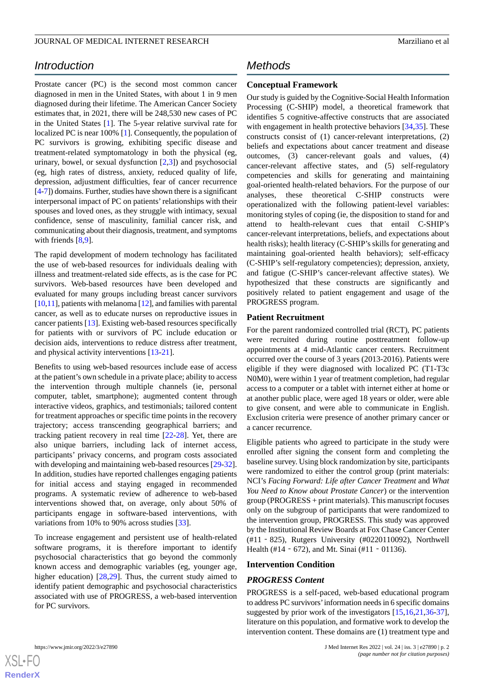# *Introduction*

Prostate cancer (PC) is the second most common cancer diagnosed in men in the United States, with about 1 in 9 men diagnosed during their lifetime. The American Cancer Society estimates that, in 2021, there will be 248,530 new cases of PC in the United States [[1\]](#page-6-0). The 5-year relative survival rate for localized PC is near 100% [\[1](#page-6-0)]. Consequently, the population of PC survivors is growing, exhibiting specific disease and treatment-related symptomatology in both the physical (eg, urinary, bowel, or sexual dysfunction  $[2,3]$  $[2,3]$  $[2,3]$  $[2,3]$ ) and psychosocial (eg, high rates of distress, anxiety, reduced quality of life, depression, adjustment difficulties, fear of cancer recurrence [[4-](#page-7-1)[7\]](#page-7-2)) domains. Further, studies have shown there is a significant interpersonal impact of PC on patients' relationships with their spouses and loved ones, as they struggle with intimacy, sexual confidence, sense of masculinity, familial cancer risk, and communicating about their diagnosis, treatment, and symptoms with friends [\[8](#page-7-3),[9\]](#page-7-4).

The rapid development of modern technology has facilitated the use of web-based resources for individuals dealing with illness and treatment-related side effects, as is the case for PC survivors. Web-based resources have been developed and evaluated for many groups including breast cancer survivors [[10,](#page-7-5)[11\]](#page-7-6), patients with melanoma [[12](#page-7-7)], and families with parental cancer, as well as to educate nurses on reproductive issues in cancer patients [\[13](#page-7-8)]. Existing web-based resources specifically for patients with or survivors of PC include education or decision aids, interventions to reduce distress after treatment, and physical activity interventions [\[13](#page-7-8)-[21\]](#page-7-9).

Benefits to using web-based resources include ease of access at the patient's own schedule in a private place; ability to access the intervention through multiple channels (ie, personal computer, tablet, smartphone); augmented content through interactive videos, graphics, and testimonials; tailored content for treatment approaches or specific time points in the recovery trajectory; access transcending geographical barriers; and tracking patient recovery in real time [\[22](#page-8-0)-[28\]](#page-8-1). Yet, there are also unique barriers, including lack of internet access, participants' privacy concerns, and program costs associated with developing and maintaining web-based resources [\[29](#page-8-2)-[32\]](#page-8-3). In addition, studies have reported challenges engaging patients for initial access and staying engaged in recommended programs. A systematic review of adherence to web-based interventions showed that, on average, only about 50% of participants engage in software-based interventions, with variations from 10% to 90% across studies [\[33](#page-8-4)].

To increase engagement and persistent use of health-related software programs, it is therefore important to identify psychosocial characteristics that go beyond the commonly known access and demographic variables (eg, younger age, higher education) [[28](#page-8-1)[,29](#page-8-2)]. Thus, the current study aimed to identify patient demographic and psychosocial characteristics associated with use of PROGRESS, a web-based intervention for PC survivors.

## *Methods*

#### **Conceptual Framework**

Our study is guided by the Cognitive-Social Health Information Processing (C-SHIP) model, a theoretical framework that identifies 5 cognitive-affective constructs that are associated with engagement in health protective behaviors [\[34](#page-8-5),[35\]](#page-8-6). These constructs consist of (1) cancer-relevant interpretations, (2) beliefs and expectations about cancer treatment and disease outcomes, (3) cancer-relevant goals and values, (4) cancer-relevant affective states, and (5) self-regulatory competencies and skills for generating and maintaining goal-oriented health-related behaviors. For the purpose of our analyses, these theoretical C-SHIP constructs were operationalized with the following patient-level variables: monitoring styles of coping (ie, the disposition to stand for and attend to health-relevant cues that entail C-SHIP's cancer-relevant interpretations, beliefs, and expectations about health risks); health literacy (C-SHIP's skills for generating and maintaining goal-oriented health behaviors); self-efficacy (C-SHIP's self-regulatory competencies); depression, anxiety, and fatigue (C-SHIP's cancer-relevant affective states). We hypothesized that these constructs are significantly and positively related to patient engagement and usage of the PROGRESS program.

#### **Patient Recruitment**

For the parent randomized controlled trial (RCT), PC patients were recruited during routine posttreatment follow-up appointments at 4 mid-Atlantic cancer centers. Recruitment occurred over the course of 3 years (2013-2016). Patients were eligible if they were diagnosed with localized PC (T1-T3c N0M0), were within 1 year of treatment completion, had regular access to a computer or a tablet with internet either at home or at another public place, were aged 18 years or older, were able to give consent, and were able to communicate in English. Exclusion criteria were presence of another primary cancer or a cancer recurrence.

Eligible patients who agreed to participate in the study were enrolled after signing the consent form and completing the baseline survey. Using block randomization by site, participants were randomized to either the control group (print materials: NCI's *Facing Forward: Life after Cancer Treatment* and *What You Need to Know about Prostate Cancer*) or the intervention group (PROGRESS + print materials). This manuscript focuses only on the subgroup of participants that were randomized to the intervention group, PROGRESS. This study was approved by the Institutional Review Boards at Fox Chase Cancer Center (#11‐825), Rutgers University (#0220110092), Northwell Health (#14 - 672), and Mt. Sinai (#11 - 01136).

#### **Intervention Condition**

#### *PROGRESS Content*

PROGRESS is a self-paced, web-based educational program to address PC survivors'information needs in 6 specific domains suggested by prior work of the investigators [\[15](#page-7-10),[16,](#page-7-11)[21](#page-7-9),[36-](#page-8-7)[37\]](#page-8-8), literature on this population, and formative work to develop the intervention content. These domains are (1) treatment type and

```
XS • FC
RenderX
```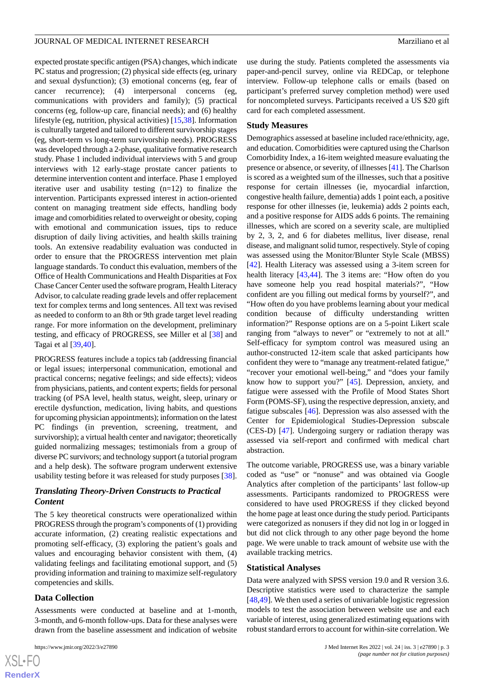expected prostate specific antigen (PSA) changes, which indicate PC status and progression; (2) physical side effects (eg, urinary and sexual dysfunction); (3) emotional concerns (eg, fear of cancer recurrence); (4) interpersonal concerns (eg, communications with providers and family); (5) practical concerns (eg, follow-up care, financial needs); and (6) healthy lifestyle (eg, nutrition, physical activities) [\[15](#page-7-10),[38\]](#page-8-9). Information is culturally targeted and tailored to different survivorship stages (eg, short-term vs long-term survivorship needs). PROGRESS was developed through a 2-phase, qualitative formative research study. Phase 1 included individual interviews with 5 and group interviews with 12 early-stage prostate cancer patients to determine intervention content and interface. Phase 1 employed iterative user and usability testing (n=12) to finalize the intervention. Participants expressed interest in action-oriented content on managing treatment side effects, handling body image and comorbidities related to overweight or obesity, coping with emotional and communication issues, tips to reduce disruption of daily living activities, and health skills training tools. An extensive readability evaluation was conducted in order to ensure that the PROGRESS intervention met plain language standards. To conduct this evaluation, members of the Office of Health Communications and Health Disparities at Fox Chase Cancer Center used the software program, Health Literacy Advisor, to calculate reading grade levels and offer replacement text for complex terms and long sentences. All text was revised as needed to conform to an 8th or 9th grade target level reading range. For more information on the development, preliminary testing, and efficacy of PROGRESS, see Miller et al [[38\]](#page-8-9) and Tagai et al [[39,](#page-8-10)[40](#page-8-11)].

PROGRESS features include a topics tab (addressing financial or legal issues; interpersonal communication, emotional and practical concerns; negative feelings; and side effects); videos from physicians, patients, and content experts; fields for personal tracking (of PSA level, health status, weight, sleep, urinary or erectile dysfunction, medication, living habits, and questions for upcoming physician appointments); information on the latest PC findings (in prevention, screening, treatment, and survivorship); a virtual health center and navigator; theoretically guided normalizing messages; testimonials from a group of diverse PC survivors; and technology support (a tutorial program and a help desk). The software program underwent extensive usability testing before it was released for study purposes [[38\]](#page-8-9).

#### *Translating Theory-Driven Constructs to Practical Content*

The 5 key theoretical constructs were operationalized within PROGRESS through the program's components of (1) providing accurate information, (2) creating realistic expectations and promoting self-efficacy, (3) exploring the patient's goals and values and encouraging behavior consistent with them, (4) validating feelings and facilitating emotional support, and (5) providing information and training to maximize self-regulatory competencies and skills.

#### **Data Collection**

Assessments were conducted at baseline and at 1-month, 3-month, and 6-month follow-ups. Data for these analyses were drawn from the baseline assessment and indication of website

use during the study. Patients completed the assessments via paper-and-pencil survey, online via REDCap, or telephone interview. Follow-up telephone calls or emails (based on participant's preferred survey completion method) were used for noncompleted surveys. Participants received a US \$20 gift card for each completed assessment.

#### **Study Measures**

Demographics assessed at baseline included race/ethnicity, age, and education. Comorbidities were captured using the Charlson Comorbidity Index, a 16-item weighted measure evaluating the presence or absence, or severity, of illnesses [[41\]](#page-8-12). The Charlson is scored as a weighted sum of the illnesses, such that a positive response for certain illnesses (ie, myocardial infarction, congestive health failure, dementia) adds 1 point each, a positive response for other illnesses (ie, leukemia) adds 2 points each, and a positive response for AIDS adds 6 points. The remaining illnesses, which are scored on a severity scale, are multiplied by 2, 3, 2, and 6 for diabetes mellitus, liver disease, renal disease, and malignant solid tumor, respectively. Style of coping was assessed using the Monitor/Blunter Style Scale (MBSS) [[42\]](#page-9-0). Health Literacy was assessed using a 3-item screen for health literacy [[43,](#page-9-1)[44](#page-9-2)]. The 3 items are: "How often do you have someone help you read hospital materials?", "How confident are you filling out medical forms by yourself?", and "How often do you have problems learning about your medical condition because of difficulty understanding written information?" Response options are on a 5-point Likert scale ranging from "always to never" or "extremely to not at all." Self-efficacy for symptom control was measured using an author-constructed 12-item scale that asked participants how confident they were to "manage any treatment-related fatigue," "recover your emotional well-being," and "does your family know how to support you?" [\[45](#page-9-3)]. Depression, anxiety, and fatigue were assessed with the Profile of Mood States Short Form (POMS-SF), using the respective depression, anxiety, and fatigue subscales [\[46](#page-9-4)]. Depression was also assessed with the Center for Epidemiological Studies-Depression subscale (CES-D) [\[47](#page-9-5)]. Undergoing surgery or radiation therapy was assessed via self-report and confirmed with medical chart abstraction.

The outcome variable, PROGRESS use, was a binary variable coded as "use" or "nonuse" and was obtained via Google Analytics after completion of the participants' last follow-up assessments. Participants randomized to PROGRESS were considered to have used PROGRESS if they clicked beyond the home page at least once during the study period. Participants were categorized as nonusers if they did not log in or logged in but did not click through to any other page beyond the home page. We were unable to track amount of website use with the available tracking metrics.

#### **Statistical Analyses**

Data were analyzed with SPSS version 19.0 and R version 3.6. Descriptive statistics were used to characterize the sample [[48,](#page-9-6)[49\]](#page-9-7). We then used a series of univariable logistic regression models to test the association between website use and each variable of interest, using generalized estimating equations with robust standard errors to account for within-site correlation. We

```
XS-FO
RenderX
```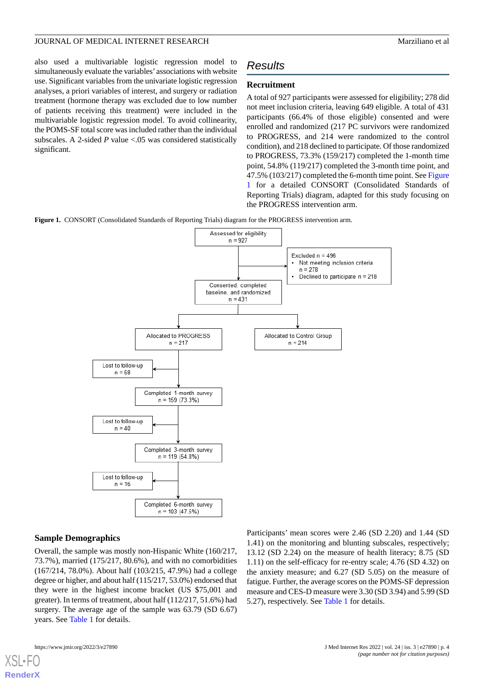also used a multivariable logistic regression model to simultaneously evaluate the variables' associations with website use. Significant variables from the univariate logistic regression analyses, a priori variables of interest, and surgery or radiation treatment (hormone therapy was excluded due to low number of patients receiving this treatment) were included in the multivariable logistic regression model. To avoid collinearity, the POMS-SF total score was included rather than the individual subscales. A 2-sided *P* value <.05 was considered statistically significant.

# *Results*

#### **Recruitment**

A total of 927 participants were assessed for eligibility; 278 did not meet inclusion criteria, leaving 649 eligible. A total of 431 participants (66.4% of those eligible) consented and were enrolled and randomized (217 PC survivors were randomized to PROGRESS, and 214 were randomized to the control condition), and 218 declined to participate. Of those randomized to PROGRESS, 73.3% (159/217) completed the 1-month time point, 54.8% (119/217) completed the 3-month time point, and 47.5% (103/217) completed the 6-month time point. See [Figure](#page-3-0) [1](#page-3-0) for a detailed CONSORT (Consolidated Standards of Reporting Trials) diagram, adapted for this study focusing on the PROGRESS intervention arm.

<span id="page-3-0"></span>**Figure 1.** CONSORT (Consolidated Standards of Reporting Trials) diagram for the PROGRESS intervention arm.



#### **Sample Demographics**

Overall, the sample was mostly non-Hispanic White (160/217, 73.7%), married (175/217, 80.6%), and with no comorbidities (167/214, 78.0%). About half (103/215, 47.9%) had a college degree or higher, and about half (115/217, 53.0%) endorsed that they were in the highest income bracket (US \$75,001 and greater). In terms of treatment, about half (112/217, 51.6%) had surgery. The average age of the sample was 63.79 (SD 6.67) years. See [Table 1](#page-4-0) for details.

Participants' mean scores were 2.46 (SD 2.20) and 1.44 (SD 1.41) on the monitoring and blunting subscales, respectively; 13.12 (SD 2.24) on the measure of health literacy; 8.75 (SD 1.11) on the self-efficacy for re-entry scale; 4.76 (SD 4.32) on the anxiety measure; and 6.27 (SD 5.05) on the measure of fatigue. Further, the average scores on the POMS-SF depression measure and CES-D measure were 3.30 (SD 3.94) and 5.99 (SD 5.27), respectively. See [Table 1](#page-4-0) for details.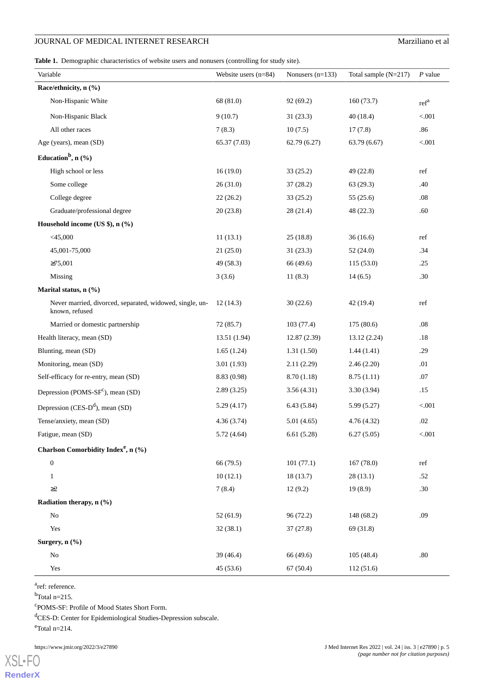### **JOURNAL OF MEDICAL INTERNET RESEARCH** Marziliano et al

<span id="page-4-0"></span>**Table 1.** Demographic characteristics of website users and nonusers (controlling for study site).

| Variable                                                                   | Website users $(n=84)$ | Nonusers $(n=133)$ | Total sample $(N=217)$ | $P$ value        |
|----------------------------------------------------------------------------|------------------------|--------------------|------------------------|------------------|
| Race/ethnicity, n (%)                                                      |                        |                    |                        |                  |
| Non-Hispanic White                                                         | 68 (81.0)              | 92(69.2)           | 160(73.7)              | ref <sup>a</sup> |
| Non-Hispanic Black                                                         | 9(10.7)                | 31(23.3)           | 40(18.4)               | < .001           |
| All other races                                                            | 7(8.3)                 | 10(7.5)            | 17(7.8)                | .86              |
| Age (years), mean (SD)                                                     | 65.37 (7.03)           | 62.79(6.27)        | 63.79(6.67)            | < 0.001          |
| Education <sup>b</sup> , $n$ (%)                                           |                        |                    |                        |                  |
| High school or less                                                        | 16(19.0)               | 33(25.2)           | 49 (22.8)              | ref              |
| Some college                                                               | 26(31.0)               | 37(28.2)           | 63(29.3)               | .40              |
| College degree                                                             | 22(26.2)               | 33(25.2)           | 55(25.6)               | .08              |
| Graduate/professional degree                                               | 20(23.8)               | 28(21.4)           | 48 (22.3)              | .60              |
| Household income (US \$), n (%)                                            |                        |                    |                        |                  |
| $<$ 45,000                                                                 | 11(13.1)               | 25(18.8)           | 36(16.6)               | ref              |
| 45,001-75,000                                                              | 21(25.0)               | 31(23.3)           | 52(24.0)               | .34              |
| $\geq 75,001$                                                              | 49 (58.3)              | 66 (49.6)          | 115(53.0)              | .25              |
| Missing                                                                    | 3(3.6)                 | 11(8.3)            | 14(6.5)                | .30              |
| Marital status, $n$ (%)                                                    |                        |                    |                        |                  |
| Never married, divorced, separated, widowed, single, un-<br>known, refused | 12(14.3)               | 30(22.6)           | 42(19.4)               | ref              |
| Married or domestic partnership                                            | 72(85.7)               | 103(77.4)          | 175(80.6)              | .08              |
| Health literacy, mean (SD)                                                 | 13.51 (1.94)           | 12.87(2.39)        | 13.12 (2.24)           | .18              |
| Blunting, mean (SD)                                                        | 1.65(1.24)             | 1.31(1.50)         | 1.44(1.41)             | .29              |
| Monitoring, mean (SD)                                                      | 3.01(1.93)             | 2.11(2.29)         | 2.46(2.20)             | .01              |
| Self-efficacy for re-entry, mean (SD)                                      | 8.83 (0.98)            | 8.70(1.18)         | 8.75(1.11)             | .07              |
| Depression (POMS- $SFc$ ), mean (SD)                                       | 2.89(3.25)             | 3.56(4.31)         | 3.30(3.94)             | .15              |
| Depression (CES- $D^d$ ), mean (SD)                                        | 5.29(4.17)             | 6.43(5.84)         | 5.99(5.27)             | < 0.001          |
| Tense/anxiety, mean (SD)                                                   | 4.36 (3.74)            | 5.01(4.65)         | 4.76 (4.32)            | $.02\,$          |
| Fatigue, mean (SD)                                                         | 5.72(4.64)             | 6.61(5.28)         | 6.27(5.05)             | $< 001$          |
| Charlson Comorbidity Index <sup>e</sup> , n (%)                            |                        |                    |                        |                  |
| $\boldsymbol{0}$                                                           | 66 (79.5)              | 101(77.1)          | 167(78.0)              | ref              |
| $\mathbf{1}$                                                               | 10(12.1)               | 18(13.7)           | 28(13.1)               | .52              |
| $\geq$ 2                                                                   | 7(8.4)                 | 12(9.2)            | 19(8.9)                | .30              |
| Radiation therapy, n (%)                                                   |                        |                    |                        |                  |
| $\rm No$                                                                   | 52(61.9)               | 96 (72.2)          | 148 (68.2)             | .09              |
| Yes                                                                        | 32(38.1)               | 37(27.8)           | 69 (31.8)              |                  |
| Surgery, n (%)                                                             |                        |                    |                        |                  |
| No                                                                         | 39 (46.4)              | 66 (49.6)          | 105(48.4)              | .80              |
| Yes                                                                        | 45 (53.6)              | 67(50.4)           | 112 (51.6)             |                  |

<sup>a</sup>ref: reference.

 $<sup>b</sup>$ Total n=215.</sup>

c POMS-SF: Profile of Mood States Short Form.

<sup>d</sup>CES-D: Center for Epidemiological Studies-Depression subscale.

 $\text{°Total}$  n=214.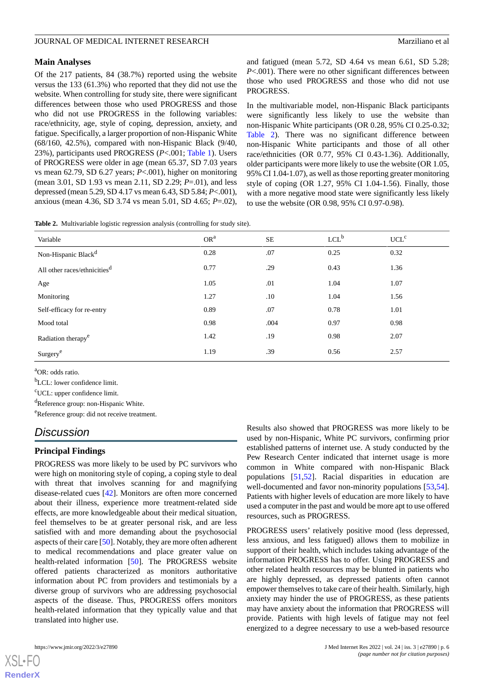#### **Main Analyses**

Of the 217 patients, 84 (38.7%) reported using the website versus the 133 (61.3%) who reported that they did not use the website. When controlling for study site, there were significant differences between those who used PROGRESS and those who did not use PROGRESS in the following variables: race/ethnicity, age, style of coping, depression, anxiety, and fatigue. Specifically, a larger proportion of non-Hispanic White (68/160, 42.5%), compared with non-Hispanic Black (9/40, 23%), participants used PROGRESS (*P*<.001; [Table 1](#page-4-0)). Users of PROGRESS were older in age (mean 65.37, SD 7.03 years vs mean 62.79, SD 6.27 years; *P*<.001), higher on monitoring (mean 3.01, SD 1.93 vs mean 2.11, SD 2.29; *P*=.01), and less depressed (mean 5.29, SD 4.17 vs mean 6.43, SD 5.84; *P*<.001), anxious (mean 4.36, SD 3.74 vs mean 5.01, SD 4.65; *P*=.02),

and fatigued (mean 5.72, SD 4.64 vs mean 6.61, SD 5.28; *P*<.001). There were no other significant differences between those who used PROGRESS and those who did not use PROGRESS.

In the multivariable model, non-Hispanic Black participants were significantly less likely to use the website than non-Hispanic White participants (OR 0.28, 95% CI 0.25-0.32; [Table 2](#page-5-0)). There was no significant difference between non-Hispanic White participants and those of all other race/ethnicities (OR 0.77, 95% CI 0.43-1.36). Additionally, older participants were more likely to use the website (OR 1.05, 95% CI 1.04-1.07), as well as those reporting greater monitoring style of coping (OR 1.27, 95% CI 1.04-1.56). Finally, those with a more negative mood state were significantly less likely to use the website (OR 0.98, 95% CI 0.97-0.98).

<span id="page-5-0"></span>**Table 2.** Multivariable logistic regression analysis (controlling for study site).

| Variable                                 | OR <sup>a</sup> | SE   | $LCL^b$ | UCL <sup>c</sup> |
|------------------------------------------|-----------------|------|---------|------------------|
| Non-Hispanic Black <sup>d</sup>          | 0.28            | .07  | 0.25    | 0.32             |
| All other races/ethnicities <sup>d</sup> | 0.77            | .29  | 0.43    | 1.36             |
| Age                                      | 1.05            | .01  | 1.04    | 1.07             |
| Monitoring                               | 1.27            | .10  | 1.04    | 1.56             |
| Self-efficacy for re-entry               | 0.89            | .07  | 0.78    | 1.01             |
| Mood total                               | 0.98            | .004 | 0.97    | 0.98             |
| Radiation therapy <sup>e</sup>           | 1.42            | .19  | 0.98    | 2.07             |
| Surgery <sup>e</sup>                     | 1.19            | .39  | 0.56    | 2.57             |

<sup>a</sup>OR: odds ratio.

<sup>b</sup>LCL: lower confidence limit.

<sup>c</sup>UCL: upper confidence limit.

<sup>d</sup>Reference group: non-Hispanic White.

<sup>e</sup>Reference group: did not receive treatment.

### *Discussion*

#### **Principal Findings**

PROGRESS was more likely to be used by PC survivors who were high on monitoring style of coping, a coping style to deal with threat that involves scanning for and magnifying disease-related cues [\[42](#page-9-0)]. Monitors are often more concerned about their illness, experience more treatment-related side effects, are more knowledgeable about their medical situation, feel themselves to be at greater personal risk, and are less satisfied with and more demanding about the psychosocial aspects of their care [[50\]](#page-9-8). Notably, they are more often adherent to medical recommendations and place greater value on health-related information [[50\]](#page-9-8). The PROGRESS website offered patients characterized as monitors authoritative information about PC from providers and testimonials by a diverse group of survivors who are addressing psychosocial aspects of the disease. Thus, PROGRESS offers monitors health-related information that they typically value and that translated into higher use.

Results also showed that PROGRESS was more likely to be used by non-Hispanic, White PC survivors, confirming prior established patterns of internet use. A study conducted by the Pew Research Center indicated that internet usage is more common in White compared with non-Hispanic Black populations [\[51](#page-9-9),[52\]](#page-9-10). Racial disparities in education are well-documented and favor non-minority populations [\[53](#page-9-11),[54\]](#page-9-12). Patients with higher levels of education are more likely to have used a computer in the past and would be more apt to use offered resources, such as PROGRESS.

PROGRESS users' relatively positive mood (less depressed, less anxious, and less fatigued) allows them to mobilize in support of their health, which includes taking advantage of the information PROGRESS has to offer. Using PROGRESS and other related health resources may be blunted in patients who are highly depressed, as depressed patients often cannot empower themselves to take care of their health. Similarly, high anxiety may hinder the use of PROGRESS, as these patients may have anxiety about the information that PROGRESS will provide. Patients with high levels of fatigue may not feel energized to a degree necessary to use a web-based resource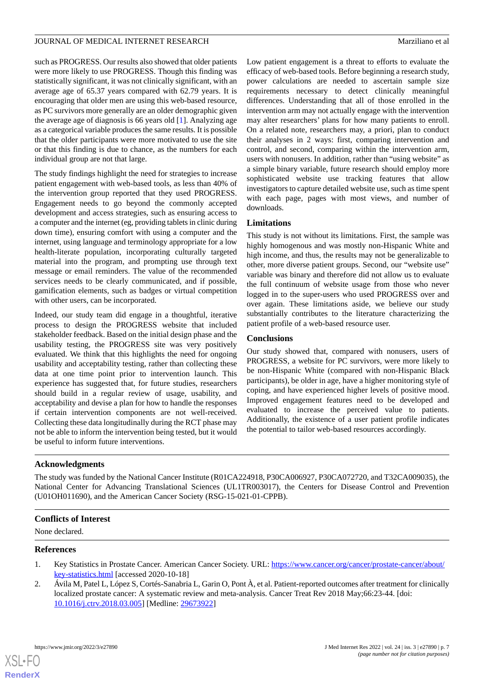such as PROGRESS. Our results also showed that older patients were more likely to use PROGRESS. Though this finding was statistically significant, it was not clinically significant, with an average age of 65.37 years compared with 62.79 years. It is encouraging that older men are using this web-based resource, as PC survivors more generally are an older demographic given the average age of diagnosis is 66 years old [[1\]](#page-6-0). Analyzing age as a categorical variable produces the same results. It is possible that the older participants were more motivated to use the site or that this finding is due to chance, as the numbers for each individual group are not that large.

The study findings highlight the need for strategies to increase patient engagement with web-based tools, as less than 40% of the intervention group reported that they used PROGRESS. Engagement needs to go beyond the commonly accepted development and access strategies, such as ensuring access to a computer and the internet (eg, providing tablets in clinic during down time), ensuring comfort with using a computer and the internet, using language and terminology appropriate for a low health-literate population, incorporating culturally targeted material into the program, and prompting use through text message or email reminders. The value of the recommended services needs to be clearly communicated, and if possible, gamification elements, such as badges or virtual competition with other users, can be incorporated.

Indeed, our study team did engage in a thoughtful, iterative process to design the PROGRESS website that included stakeholder feedback. Based on the initial design phase and the usability testing, the PROGRESS site was very positively evaluated. We think that this highlights the need for ongoing usability and acceptability testing, rather than collecting these data at one time point prior to intervention launch. This experience has suggested that, for future studies, researchers should build in a regular review of usage, usability, and acceptability and devise a plan for how to handle the responses if certain intervention components are not well-received. Collecting these data longitudinally during the RCT phase may not be able to inform the intervention being tested, but it would be useful to inform future interventions.

Low patient engagement is a threat to efforts to evaluate the efficacy of web-based tools. Before beginning a research study, power calculations are needed to ascertain sample size requirements necessary to detect clinically meaningful differences. Understanding that all of those enrolled in the intervention arm may not actually engage with the intervention may alter researchers' plans for how many patients to enroll. On a related note, researchers may, a priori, plan to conduct their analyses in 2 ways: first, comparing intervention and control, and second, comparing within the intervention arm, users with nonusers. In addition, rather than "using website" as a simple binary variable, future research should employ more sophisticated website use tracking features that allow investigators to capture detailed website use, such as time spent with each page, pages with most views, and number of downloads.

### **Limitations**

This study is not without its limitations. First, the sample was highly homogenous and was mostly non-Hispanic White and high income, and thus, the results may not be generalizable to other, more diverse patient groups. Second, our "website use" variable was binary and therefore did not allow us to evaluate the full continuum of website usage from those who never logged in to the super-users who used PROGRESS over and over again. These limitations aside, we believe our study substantially contributes to the literature characterizing the patient profile of a web-based resource user.

#### **Conclusions**

Our study showed that, compared with nonusers, users of PROGRESS, a website for PC survivors, were more likely to be non-Hispanic White (compared with non-Hispanic Black participants), be older in age, have a higher monitoring style of coping, and have experienced higher levels of positive mood. Improved engagement features need to be developed and evaluated to increase the perceived value to patients. Additionally, the existence of a user patient profile indicates the potential to tailor web-based resources accordingly.

#### **Acknowledgments**

The study was funded by the National Cancer Institute (R01CA224918, P30CA006927, P30CA072720, and T32CA009035), the National Center for Advancing Translational Sciences (UL1TR003017), the Centers for Disease Control and Prevention (U01OH011690), and the American Cancer Society (RSG-15-021-01-CPPB).

#### <span id="page-6-0"></span>**Conflicts of Interest**

<span id="page-6-1"></span>None declared.

#### **References**

- 1. Key Statistics in Prostate Cancer. American Cancer Society. URL: [https://www.cancer.org/cancer/prostate-cancer/about/](https://www.cancer.org/cancer/prostate-cancer/about/key-statistics.html) [key-statistics.html](https://www.cancer.org/cancer/prostate-cancer/about/key-statistics.html) [accessed 2020-10-18]
- 2. Ávila M, Patel L, López S, Cortés-Sanabria L, Garin O, Pont À, et al. Patient-reported outcomes after treatment for clinically localized prostate cancer: A systematic review and meta-analysis. Cancer Treat Rev 2018 May;66:23-44. [doi: [10.1016/j.ctrv.2018.03.005](http://dx.doi.org/10.1016/j.ctrv.2018.03.005)] [Medline: [29673922](http://www.ncbi.nlm.nih.gov/entrez/query.fcgi?cmd=Retrieve&db=PubMed&list_uids=29673922&dopt=Abstract)]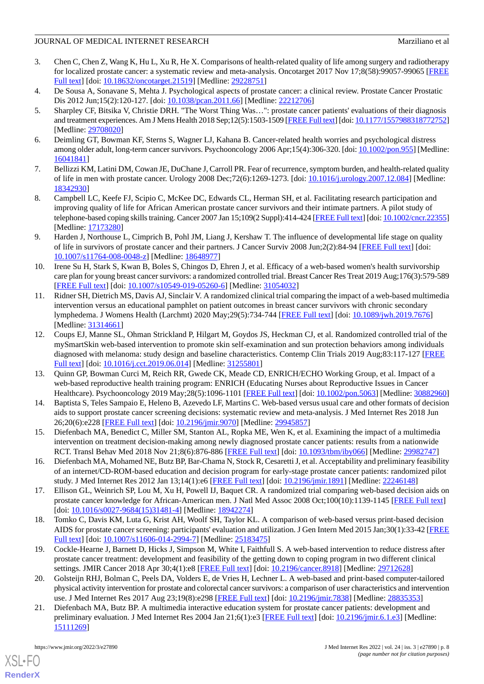- <span id="page-7-0"></span>3. Chen C, Chen Z, Wang K, Hu L, Xu R, He X. Comparisons of health-related quality of life among surgery and radiotherapy for localized prostate cancer: a systematic review and meta-analysis. Oncotarget 2017 Nov 17;8(58):99057-99065 [[FREE](https://www.oncotarget.com/lookup/doi/10.18632/oncotarget.21519) [Full text\]](https://www.oncotarget.com/lookup/doi/10.18632/oncotarget.21519) [doi: [10.18632/oncotarget.21519](http://dx.doi.org/10.18632/oncotarget.21519)] [Medline: [29228751\]](http://www.ncbi.nlm.nih.gov/entrez/query.fcgi?cmd=Retrieve&db=PubMed&list_uids=29228751&dopt=Abstract)
- <span id="page-7-1"></span>4. De Sousa A, Sonavane S, Mehta J. Psychological aspects of prostate cancer: a clinical review. Prostate Cancer Prostatic Dis 2012 Jun;15(2):120-127. [doi: [10.1038/pcan.2011.66](http://dx.doi.org/10.1038/pcan.2011.66)] [Medline: [22212706](http://www.ncbi.nlm.nih.gov/entrez/query.fcgi?cmd=Retrieve&db=PubMed&list_uids=22212706&dopt=Abstract)]
- 5. Sharpley CF, Bitsika V, Christie DRH. "The Worst Thing Was…": prostate cancer patients' evaluations of their diagnosis and treatment experiences. Am J Mens Health 2018 Sep;12(5):1503-1509 [\[FREE Full text\]](https://journals.sagepub.com/doi/10.1177/1557988318772752?url_ver=Z39.88-2003&rfr_id=ori:rid:crossref.org&rfr_dat=cr_pub%3dpubmed) [doi: [10.1177/1557988318772752\]](http://dx.doi.org/10.1177/1557988318772752) [Medline: [29708020](http://www.ncbi.nlm.nih.gov/entrez/query.fcgi?cmd=Retrieve&db=PubMed&list_uids=29708020&dopt=Abstract)]
- <span id="page-7-2"></span>6. Deimling GT, Bowman KF, Sterns S, Wagner LJ, Kahana B. Cancer-related health worries and psychological distress among older adult, long-term cancer survivors. Psychooncology 2006 Apr;15(4):306-320. [doi: [10.1002/pon.955](http://dx.doi.org/10.1002/pon.955)] [Medline: [16041841](http://www.ncbi.nlm.nih.gov/entrez/query.fcgi?cmd=Retrieve&db=PubMed&list_uids=16041841&dopt=Abstract)]
- <span id="page-7-3"></span>7. Bellizzi KM, Latini DM, Cowan JE, DuChane J, Carroll PR. Fear of recurrence, symptom burden, and health-related quality of life in men with prostate cancer. Urology 2008 Dec;72(6):1269-1273. [doi: [10.1016/j.urology.2007.12.084](http://dx.doi.org/10.1016/j.urology.2007.12.084)] [Medline: [18342930](http://www.ncbi.nlm.nih.gov/entrez/query.fcgi?cmd=Retrieve&db=PubMed&list_uids=18342930&dopt=Abstract)]
- <span id="page-7-4"></span>8. Campbell LC, Keefe FJ, Scipio C, McKee DC, Edwards CL, Herman SH, et al. Facilitating research participation and improving quality of life for African American prostate cancer survivors and their intimate partners. A pilot study of telephone-based coping skills training. Cancer 2007 Jan 15;109(2 Suppl):414-424 [\[FREE Full text](https://doi.org/10.1002/cncr.22355)] [doi: [10.1002/cncr.22355\]](http://dx.doi.org/10.1002/cncr.22355) [Medline: [17173280](http://www.ncbi.nlm.nih.gov/entrez/query.fcgi?cmd=Retrieve&db=PubMed&list_uids=17173280&dopt=Abstract)]
- <span id="page-7-5"></span>9. Harden J, Northouse L, Cimprich B, Pohl JM, Liang J, Kershaw T. The influence of developmental life stage on quality of life in survivors of prostate cancer and their partners. J Cancer Surviv 2008 Jun;2(2):84-94 [\[FREE Full text\]](http://europepmc.org/abstract/MED/18648977) [doi: [10.1007/s11764-008-0048-z](http://dx.doi.org/10.1007/s11764-008-0048-z)] [Medline: [18648977\]](http://www.ncbi.nlm.nih.gov/entrez/query.fcgi?cmd=Retrieve&db=PubMed&list_uids=18648977&dopt=Abstract)
- <span id="page-7-6"></span>10. Irene Su H, Stark S, Kwan B, Boles S, Chingos D, Ehren J, et al. Efficacy of a web-based women's health survivorship care plan for young breast cancer survivors: a randomized controlled trial. Breast Cancer Res Treat 2019 Aug;176(3):579-589 [[FREE Full text](http://europepmc.org/abstract/MED/31054032)] [doi: [10.1007/s10549-019-05260-6\]](http://dx.doi.org/10.1007/s10549-019-05260-6) [Medline: [31054032](http://www.ncbi.nlm.nih.gov/entrez/query.fcgi?cmd=Retrieve&db=PubMed&list_uids=31054032&dopt=Abstract)]
- <span id="page-7-7"></span>11. Ridner SH, Dietrich MS, Davis AJ, Sinclair V. A randomized clinical trial comparing the impact of a web-based multimedia intervention versus an educational pamphlet on patient outcomes in breast cancer survivors with chronic secondary lymphedema. J Womens Health (Larchmt) 2020 May;29(5):734-744 [\[FREE Full text\]](http://europepmc.org/abstract/MED/31314661) [doi: [10.1089/jwh.2019.7676](http://dx.doi.org/10.1089/jwh.2019.7676)] [Medline: [31314661](http://www.ncbi.nlm.nih.gov/entrez/query.fcgi?cmd=Retrieve&db=PubMed&list_uids=31314661&dopt=Abstract)]
- <span id="page-7-8"></span>12. Coups EJ, Manne SL, Ohman Strickland P, Hilgart M, Goydos JS, Heckman CJ, et al. Randomized controlled trial of the mySmartSkin web-based intervention to promote skin self-examination and sun protection behaviors among individuals diagnosed with melanoma: study design and baseline characteristics. Contemp Clin Trials 2019 Aug;83:117-127 [[FREE](http://europepmc.org/abstract/MED/31255801) [Full text\]](http://europepmc.org/abstract/MED/31255801) [doi: [10.1016/j.cct.2019.06.014\]](http://dx.doi.org/10.1016/j.cct.2019.06.014) [Medline: [31255801\]](http://www.ncbi.nlm.nih.gov/entrez/query.fcgi?cmd=Retrieve&db=PubMed&list_uids=31255801&dopt=Abstract)
- 13. Quinn GP, Bowman Curci M, Reich RR, Gwede CK, Meade CD, ENRICH/ECHO Working Group, et al. Impact of a web-based reproductive health training program: ENRICH (Educating Nurses about Reproductive Issues in Cancer Healthcare). Psychooncology 2019 May;28(5):1096-1101 [[FREE Full text\]](http://europepmc.org/abstract/MED/30882960) [doi: [10.1002/pon.5063](http://dx.doi.org/10.1002/pon.5063)] [Medline: [30882960](http://www.ncbi.nlm.nih.gov/entrez/query.fcgi?cmd=Retrieve&db=PubMed&list_uids=30882960&dopt=Abstract)]
- <span id="page-7-11"></span><span id="page-7-10"></span>14. Baptista S, Teles Sampaio E, Heleno B, Azevedo LF, Martins C. Web-based versus usual care and other formats of decision aids to support prostate cancer screening decisions: systematic review and meta-analysis. J Med Internet Res 2018 Jun 26;20(6):e228 [\[FREE Full text](https://www.jmir.org/2018/6/e228/)] [doi: [10.2196/jmir.9070](http://dx.doi.org/10.2196/jmir.9070)] [Medline: [29945857](http://www.ncbi.nlm.nih.gov/entrez/query.fcgi?cmd=Retrieve&db=PubMed&list_uids=29945857&dopt=Abstract)]
- 15. Diefenbach MA, Benedict C, Miller SM, Stanton AL, Ropka ME, Wen K, et al. Examining the impact of a multimedia intervention on treatment decision-making among newly diagnosed prostate cancer patients: results from a nationwide RCT. Transl Behav Med 2018 Nov 21;8(6):876-886 [\[FREE Full text](http://europepmc.org/abstract/MED/29982747)] [doi: [10.1093/tbm/iby066](http://dx.doi.org/10.1093/tbm/iby066)] [Medline: [29982747\]](http://www.ncbi.nlm.nih.gov/entrez/query.fcgi?cmd=Retrieve&db=PubMed&list_uids=29982747&dopt=Abstract)
- 16. Diefenbach MA, Mohamed NE, Butz BP, Bar-Chama N, Stock R, Cesaretti J, et al. Acceptability and preliminary feasibility of an internet/CD-ROM-based education and decision program for early-stage prostate cancer patients: randomized pilot study. J Med Internet Res 2012 Jan 13;14(1):e6 [[FREE Full text](https://www.jmir.org/2012/1/e6/)] [doi: [10.2196/jmir.1891](http://dx.doi.org/10.2196/jmir.1891)] [Medline: [22246148\]](http://www.ncbi.nlm.nih.gov/entrez/query.fcgi?cmd=Retrieve&db=PubMed&list_uids=22246148&dopt=Abstract)
- 17. Ellison GL, Weinrich SP, Lou M, Xu H, Powell IJ, Baquet CR. A randomized trial comparing web-based decision aids on prostate cancer knowledge for African-American men. J Natl Med Assoc 2008 Oct;100(10):1139-1145 [[FREE Full text](http://europepmc.org/abstract/MED/18942274)] [doi: [10.1016/s0027-9684\(15\)31481-4](http://dx.doi.org/10.1016/s0027-9684(15)31481-4)] [Medline: [18942274](http://www.ncbi.nlm.nih.gov/entrez/query.fcgi?cmd=Retrieve&db=PubMed&list_uids=18942274&dopt=Abstract)]
- 18. Tomko C, Davis KM, Luta G, Krist AH, Woolf SH, Taylor KL. A comparison of web-based versus print-based decision AIDS for prostate cancer screening: participants' evaluation and utilization. J Gen Intern Med 2015 Jan;30(1):33-42 [\[FREE](http://europepmc.org/abstract/MED/25183475) [Full text\]](http://europepmc.org/abstract/MED/25183475) [doi: [10.1007/s11606-014-2994-7](http://dx.doi.org/10.1007/s11606-014-2994-7)] [Medline: [25183475](http://www.ncbi.nlm.nih.gov/entrez/query.fcgi?cmd=Retrieve&db=PubMed&list_uids=25183475&dopt=Abstract)]
- <span id="page-7-9"></span>19. Cockle-Hearne J, Barnett D, Hicks J, Simpson M, White I, Faithfull S. A web-based intervention to reduce distress after prostate cancer treatment: development and feasibility of the getting down to coping program in two different clinical settings. JMIR Cancer 2018 Apr 30;4(1):e8 [\[FREE Full text\]](https://cancer.jmir.org/2018/1/e8/) [doi: [10.2196/cancer.8918](http://dx.doi.org/10.2196/cancer.8918)] [Medline: [29712628\]](http://www.ncbi.nlm.nih.gov/entrez/query.fcgi?cmd=Retrieve&db=PubMed&list_uids=29712628&dopt=Abstract)
- 20. Golsteijn RHJ, Bolman C, Peels DA, Volders E, de Vries H, Lechner L. A web-based and print-based computer-tailored physical activity intervention for prostate and colorectal cancer survivors: a comparison of user characteristics and intervention use. J Med Internet Res 2017 Aug 23;19(8):e298 [[FREE Full text](https://www.jmir.org/2017/8/e298/)] [doi: [10.2196/jmir.7838](http://dx.doi.org/10.2196/jmir.7838)] [Medline: [28835353](http://www.ncbi.nlm.nih.gov/entrez/query.fcgi?cmd=Retrieve&db=PubMed&list_uids=28835353&dopt=Abstract)]
- 21. Diefenbach MA, Butz BP. A multimedia interactive education system for prostate cancer patients: development and preliminary evaluation. J Med Internet Res 2004 Jan 21;6(1):e3 [[FREE Full text](https://www.jmir.org/2004/1/e3/)] [doi: [10.2196/jmir.6.1.e3\]](http://dx.doi.org/10.2196/jmir.6.1.e3) [Medline: [15111269](http://www.ncbi.nlm.nih.gov/entrez/query.fcgi?cmd=Retrieve&db=PubMed&list_uids=15111269&dopt=Abstract)]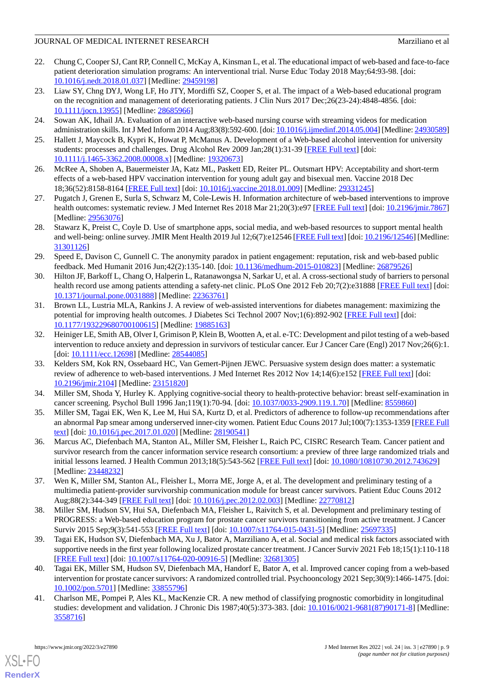- <span id="page-8-0"></span>22. Chung C, Cooper SJ, Cant RP, Connell C, McKay A, Kinsman L, et al. The educational impact of web-based and face-to-face patient deterioration simulation programs: An interventional trial. Nurse Educ Today 2018 May;64:93-98. [doi: [10.1016/j.nedt.2018.01.037\]](http://dx.doi.org/10.1016/j.nedt.2018.01.037) [Medline: [29459198\]](http://www.ncbi.nlm.nih.gov/entrez/query.fcgi?cmd=Retrieve&db=PubMed&list_uids=29459198&dopt=Abstract)
- 23. Liaw SY, Chng DYJ, Wong LF, Ho JTY, Mordiffi SZ, Cooper S, et al. The impact of a Web-based educational program on the recognition and management of deteriorating patients. J Clin Nurs 2017 Dec;26(23-24):4848-4856. [doi: [10.1111/jocn.13955](http://dx.doi.org/10.1111/jocn.13955)] [Medline: [28685966](http://www.ncbi.nlm.nih.gov/entrez/query.fcgi?cmd=Retrieve&db=PubMed&list_uids=28685966&dopt=Abstract)]
- 24. Sowan AK, Idhail JA. Evaluation of an interactive web-based nursing course with streaming videos for medication administration skills. Int J Med Inform 2014 Aug;83(8):592-600. [doi: [10.1016/j.ijmedinf.2014.05.004](http://dx.doi.org/10.1016/j.ijmedinf.2014.05.004)] [Medline: [24930589\]](http://www.ncbi.nlm.nih.gov/entrez/query.fcgi?cmd=Retrieve&db=PubMed&list_uids=24930589&dopt=Abstract)
- 25. Hallett J, Maycock B, Kypri K, Howat P, McManus A. Development of a Web-based alcohol intervention for university students: processes and challenges. Drug Alcohol Rev 2009 Jan;28(1):31-39 [[FREE Full text](https://doi.org/10.1111/j.1465-3362.2008.00008.x)] [doi: [10.1111/j.1465-3362.2008.00008.x\]](http://dx.doi.org/10.1111/j.1465-3362.2008.00008.x) [Medline: [19320673\]](http://www.ncbi.nlm.nih.gov/entrez/query.fcgi?cmd=Retrieve&db=PubMed&list_uids=19320673&dopt=Abstract)
- 26. McRee A, Shoben A, Bauermeister JA, Katz ML, Paskett ED, Reiter PL. Outsmart HPV: Acceptability and short-term effects of a web-based HPV vaccination intervention for young adult gay and bisexual men. Vaccine 2018 Dec 18;36(52):8158-8164 [[FREE Full text](http://europepmc.org/abstract/MED/29331245)] [doi: [10.1016/j.vaccine.2018.01.009\]](http://dx.doi.org/10.1016/j.vaccine.2018.01.009) [Medline: [29331245\]](http://www.ncbi.nlm.nih.gov/entrez/query.fcgi?cmd=Retrieve&db=PubMed&list_uids=29331245&dopt=Abstract)
- <span id="page-8-1"></span>27. Pugatch J, Grenen E, Surla S, Schwarz M, Cole-Lewis H. Information architecture of web-based interventions to improve health outcomes: systematic review. J Med Internet Res 2018 Mar 21;20(3):e97 [\[FREE Full text\]](https://www.jmir.org/2018/3/e97/) [doi: [10.2196/jmir.7867](http://dx.doi.org/10.2196/jmir.7867)] [Medline: [29563076](http://www.ncbi.nlm.nih.gov/entrez/query.fcgi?cmd=Retrieve&db=PubMed&list_uids=29563076&dopt=Abstract)]
- <span id="page-8-2"></span>28. Stawarz K, Preist C, Coyle D. Use of smartphone apps, social media, and web-based resources to support mental health and well-being: online survey. JMIR Ment Health 2019 Jul 12;6(7):e12546 [[FREE Full text\]](https://mental.jmir.org/2019/7/e12546/) [doi: [10.2196/12546](http://dx.doi.org/10.2196/12546)] [Medline: [31301126](http://www.ncbi.nlm.nih.gov/entrez/query.fcgi?cmd=Retrieve&db=PubMed&list_uids=31301126&dopt=Abstract)]
- 29. Speed E, Davison C, Gunnell C. The anonymity paradox in patient engagement: reputation, risk and web-based public feedback. Med Humanit 2016 Jun;42(2):135-140. [doi: [10.1136/medhum-2015-010823](http://dx.doi.org/10.1136/medhum-2015-010823)] [Medline: [26879526\]](http://www.ncbi.nlm.nih.gov/entrez/query.fcgi?cmd=Retrieve&db=PubMed&list_uids=26879526&dopt=Abstract)
- 30. Hilton JF, Barkoff L, Chang O, Halperin L, Ratanawongsa N, Sarkar U, et al. A cross-sectional study of barriers to personal health record use among patients attending a safety-net clinic. PLoS One 2012 Feb 20;7(2):e31888 [[FREE Full text](https://dx.plos.org/10.1371/journal.pone.0031888)] [doi: [10.1371/journal.pone.0031888\]](http://dx.doi.org/10.1371/journal.pone.0031888) [Medline: [22363761](http://www.ncbi.nlm.nih.gov/entrez/query.fcgi?cmd=Retrieve&db=PubMed&list_uids=22363761&dopt=Abstract)]
- <span id="page-8-3"></span>31. Brown LL, Lustria MLA, Rankins J. A review of web-assisted interventions for diabetes management: maximizing the potential for improving health outcomes. J Diabetes Sci Technol 2007 Nov;1(6):892-902 [\[FREE Full text\]](http://europepmc.org/abstract/MED/19885163) [doi: [10.1177/193229680700100615\]](http://dx.doi.org/10.1177/193229680700100615) [Medline: [19885163\]](http://www.ncbi.nlm.nih.gov/entrez/query.fcgi?cmd=Retrieve&db=PubMed&list_uids=19885163&dopt=Abstract)
- <span id="page-8-4"></span>32. Heiniger LE, Smith AB, Olver I, Grimison P, Klein B, Wootten A, et al. e-TC: Development and pilot testing of a web-based intervention to reduce anxiety and depression in survivors of testicular cancer. Eur J Cancer Care (Engl) 2017 Nov;26(6):1. [doi: [10.1111/ecc.12698](http://dx.doi.org/10.1111/ecc.12698)] [Medline: [28544085\]](http://www.ncbi.nlm.nih.gov/entrez/query.fcgi?cmd=Retrieve&db=PubMed&list_uids=28544085&dopt=Abstract)
- <span id="page-8-6"></span><span id="page-8-5"></span>33. Kelders SM, Kok RN, Ossebaard HC, Van Gemert-Pijnen JEWC. Persuasive system design does matter: a systematic review of adherence to web-based interventions. J Med Internet Res 2012 Nov 14;14(6):e152 [\[FREE Full text\]](https://www.jmir.org/2012/6/e152/) [doi: [10.2196/jmir.2104](http://dx.doi.org/10.2196/jmir.2104)] [Medline: [23151820](http://www.ncbi.nlm.nih.gov/entrez/query.fcgi?cmd=Retrieve&db=PubMed&list_uids=23151820&dopt=Abstract)]
- <span id="page-8-7"></span>34. Miller SM, Shoda Y, Hurley K. Applying cognitive-social theory to health-protective behavior: breast self-examination in cancer screening. Psychol Bull 1996 Jan;119(1):70-94. [doi: [10.1037/0033-2909.119.1.70](http://dx.doi.org/10.1037/0033-2909.119.1.70)] [Medline: [8559860\]](http://www.ncbi.nlm.nih.gov/entrez/query.fcgi?cmd=Retrieve&db=PubMed&list_uids=8559860&dopt=Abstract)
- 35. Miller SM, Tagai EK, Wen K, Lee M, Hui SA, Kurtz D, et al. Predictors of adherence to follow-up recommendations after an abnormal Pap smear among underserved inner-city women. Patient Educ Couns 2017 Jul;100(7):1353-1359 [\[FREE Full](http://europepmc.org/abstract/MED/28190541) [text](http://europepmc.org/abstract/MED/28190541)] [doi: [10.1016/j.pec.2017.01.020\]](http://dx.doi.org/10.1016/j.pec.2017.01.020) [Medline: [28190541](http://www.ncbi.nlm.nih.gov/entrez/query.fcgi?cmd=Retrieve&db=PubMed&list_uids=28190541&dopt=Abstract)]
- <span id="page-8-9"></span><span id="page-8-8"></span>36. Marcus AC, Diefenbach MA, Stanton AL, Miller SM, Fleisher L, Raich PC, CISRC Research Team. Cancer patient and survivor research from the cancer information service research consortium: a preview of three large randomized trials and initial lessons learned. J Health Commun 2013;18(5):543-562 [[FREE Full text](http://europepmc.org/abstract/MED/23448232)] [doi: [10.1080/10810730.2012.743629\]](http://dx.doi.org/10.1080/10810730.2012.743629) [Medline: [23448232](http://www.ncbi.nlm.nih.gov/entrez/query.fcgi?cmd=Retrieve&db=PubMed&list_uids=23448232&dopt=Abstract)]
- <span id="page-8-10"></span>37. Wen K, Miller SM, Stanton AL, Fleisher L, Morra ME, Jorge A, et al. The development and preliminary testing of a multimedia patient-provider survivorship communication module for breast cancer survivors. Patient Educ Couns 2012 Aug;88(2):344-349 [\[FREE Full text](http://europepmc.org/abstract/MED/22770812)] [doi: [10.1016/j.pec.2012.02.003\]](http://dx.doi.org/10.1016/j.pec.2012.02.003) [Medline: [22770812](http://www.ncbi.nlm.nih.gov/entrez/query.fcgi?cmd=Retrieve&db=PubMed&list_uids=22770812&dopt=Abstract)]
- <span id="page-8-11"></span>38. Miller SM, Hudson SV, Hui SA, Diefenbach MA, Fleisher L, Raivitch S, et al. Development and preliminary testing of PROGRESS: a Web-based education program for prostate cancer survivors transitioning from active treatment. J Cancer Surviv 2015 Sep;9(3):541-553 [\[FREE Full text\]](http://europepmc.org/abstract/MED/25697335) [doi: [10.1007/s11764-015-0431-5](http://dx.doi.org/10.1007/s11764-015-0431-5)] [Medline: [25697335\]](http://www.ncbi.nlm.nih.gov/entrez/query.fcgi?cmd=Retrieve&db=PubMed&list_uids=25697335&dopt=Abstract)
- <span id="page-8-12"></span>39. Tagai EK, Hudson SV, Diefenbach MA, Xu J, Bator A, Marziliano A, et al. Social and medical risk factors associated with supportive needs in the first year following localized prostate cancer treatment. J Cancer Surviv 2021 Feb 18;15(1):110-118 [[FREE Full text](http://europepmc.org/abstract/MED/32681305)] [doi: [10.1007/s11764-020-00916-5\]](http://dx.doi.org/10.1007/s11764-020-00916-5) [Medline: [32681305](http://www.ncbi.nlm.nih.gov/entrez/query.fcgi?cmd=Retrieve&db=PubMed&list_uids=32681305&dopt=Abstract)]
- 40. Tagai EK, Miller SM, Hudson SV, Diefenbach MA, Handorf E, Bator A, et al. Improved cancer coping from a web-based intervention for prostate cancer survivors: A randomized controlled trial. Psychooncology 2021 Sep;30(9):1466-1475. [doi: [10.1002/pon.5701](http://dx.doi.org/10.1002/pon.5701)] [Medline: [33855796](http://www.ncbi.nlm.nih.gov/entrez/query.fcgi?cmd=Retrieve&db=PubMed&list_uids=33855796&dopt=Abstract)]
- 41. Charlson ME, Pompei P, Ales KL, MacKenzie CR. A new method of classifying prognostic comorbidity in longitudinal studies: development and validation. J Chronic Dis 1987;40(5):373-383. [doi: [10.1016/0021-9681\(87\)90171-8\]](http://dx.doi.org/10.1016/0021-9681(87)90171-8) [Medline: [3558716\]](http://www.ncbi.nlm.nih.gov/entrez/query.fcgi?cmd=Retrieve&db=PubMed&list_uids=3558716&dopt=Abstract)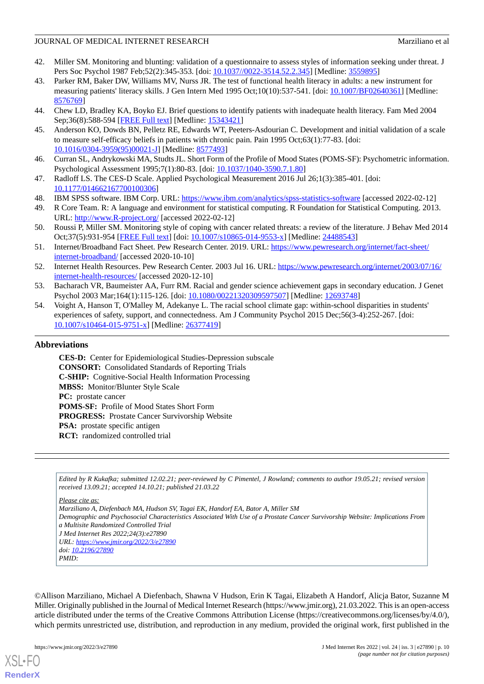- <span id="page-9-0"></span>42. Miller SM. Monitoring and blunting: validation of a questionnaire to assess styles of information seeking under threat. J Pers Soc Psychol 1987 Feb;52(2):345-353. [doi: [10.1037//0022-3514.52.2.345](http://dx.doi.org/10.1037//0022-3514.52.2.345)] [Medline: [3559895](http://www.ncbi.nlm.nih.gov/entrez/query.fcgi?cmd=Retrieve&db=PubMed&list_uids=3559895&dopt=Abstract)]
- <span id="page-9-1"></span>43. Parker RM, Baker DW, Williams MV, Nurss JR. The test of functional health literacy in adults: a new instrument for measuring patients' literacy skills. J Gen Intern Med 1995 Oct;10(10):537-541. [doi: [10.1007/BF02640361\]](http://dx.doi.org/10.1007/BF02640361) [Medline: [8576769\]](http://www.ncbi.nlm.nih.gov/entrez/query.fcgi?cmd=Retrieve&db=PubMed&list_uids=8576769&dopt=Abstract)
- <span id="page-9-3"></span><span id="page-9-2"></span>44. Chew LD, Bradley KA, Boyko EJ. Brief questions to identify patients with inadequate health literacy. Fam Med 2004 Sep;36(8):588-594 [[FREE Full text](http://www.stfm.org/fmhub/fm2004/September/Lisa588.pdf)] [Medline: [15343421](http://www.ncbi.nlm.nih.gov/entrez/query.fcgi?cmd=Retrieve&db=PubMed&list_uids=15343421&dopt=Abstract)]
- <span id="page-9-4"></span>45. Anderson KO, Dowds BN, Pelletz RE, Edwards WT, Peeters-Asdourian C. Development and initial validation of a scale to measure self-efficacy beliefs in patients with chronic pain. Pain 1995 Oct;63(1):77-83. [doi: [10.1016/0304-3959\(95\)00021-J](http://dx.doi.org/10.1016/0304-3959(95)00021-J)] [Medline: [8577493\]](http://www.ncbi.nlm.nih.gov/entrez/query.fcgi?cmd=Retrieve&db=PubMed&list_uids=8577493&dopt=Abstract)
- <span id="page-9-5"></span>46. Curran SL, Andrykowski MA, Studts JL. Short Form of the Profile of Mood States (POMS-SF): Psychometric information. Psychological Assessment 1995;7(1):80-83. [doi: [10.1037/1040-3590.7.1.80\]](http://dx.doi.org/10.1037/1040-3590.7.1.80)
- <span id="page-9-7"></span><span id="page-9-6"></span>47. Radloff LS. The CES-D Scale. Applied Psychological Measurement 2016 Jul 26;1(3):385-401. [doi: [10.1177/014662167700100306\]](http://dx.doi.org/10.1177/014662167700100306)
- 48. IBM SPSS software. IBM Corp. URL: <https://www.ibm.com/analytics/spss-statistics-software> [accessed 2022-02-12]
- <span id="page-9-8"></span>49. R Core Team. R: A language and environment for statistical computing. R Foundation for Statistical Computing. 2013. URL: <http://www.R-project.org/> [accessed 2022-02-12]
- <span id="page-9-9"></span>50. Roussi P, Miller SM. Monitoring style of coping with cancer related threats: a review of the literature. J Behav Med 2014 Oct;37(5):931-954 [\[FREE Full text\]](http://europepmc.org/abstract/MED/24488543) [doi: [10.1007/s10865-014-9553-x](http://dx.doi.org/10.1007/s10865-014-9553-x)] [Medline: [24488543\]](http://www.ncbi.nlm.nih.gov/entrez/query.fcgi?cmd=Retrieve&db=PubMed&list_uids=24488543&dopt=Abstract)
- <span id="page-9-10"></span>51. Internet/Broadband Fact Sheet. Pew Research Center. 2019. URL: [https://www.pewresearch.org/internet/fact-sheet/](https://www.pewresearch.org/internet/fact-sheet/internet-broadband/) [internet-broadband/](https://www.pewresearch.org/internet/fact-sheet/internet-broadband/) [accessed 2020-10-10]
- <span id="page-9-12"></span><span id="page-9-11"></span>52. Internet Health Resources. Pew Research Center. 2003 Jul 16. URL: [https://www.pewresearch.org/internet/2003/07/16/](https://www.pewresearch.org/internet/2003/07/16/internet-health-resources/) [internet-health-resources/](https://www.pewresearch.org/internet/2003/07/16/internet-health-resources/) [accessed 2020-12-10]
- 53. Bacharach VR, Baumeister AA, Furr RM. Racial and gender science achievement gaps in secondary education. J Genet Psychol 2003 Mar;164(1):115-126. [doi: [10.1080/00221320309597507](http://dx.doi.org/10.1080/00221320309597507)] [Medline: [12693748\]](http://www.ncbi.nlm.nih.gov/entrez/query.fcgi?cmd=Retrieve&db=PubMed&list_uids=12693748&dopt=Abstract)
- 54. Voight A, Hanson T, O'Malley M, Adekanye L. The racial school climate gap: within-school disparities in students' experiences of safety, support, and connectedness. Am J Community Psychol 2015 Dec;56(3-4):252-267. [doi: [10.1007/s10464-015-9751-x\]](http://dx.doi.org/10.1007/s10464-015-9751-x) [Medline: [26377419](http://www.ncbi.nlm.nih.gov/entrez/query.fcgi?cmd=Retrieve&db=PubMed&list_uids=26377419&dopt=Abstract)]

#### **Abbreviations**

**CES-D:** Center for Epidemiological Studies-Depression subscale **CONSORT:** Consolidated Standards of Reporting Trials **C-SHIP:** Cognitive-Social Health Information Processing **MBSS:** Monitor/Blunter Style Scale **PC:** prostate cancer **POMS-SF:** Profile of Mood States Short Form **PROGRESS:** Prostate Cancer Survivorship Website **PSA:** prostate specific antigen **RCT:** randomized controlled trial

*Edited by R Kukafka; submitted 12.02.21; peer-reviewed by C Pimentel, J Rowland; comments to author 19.05.21; revised version received 13.09.21; accepted 14.10.21; published 21.03.22*

*Please cite as:*

*Marziliano A, Diefenbach MA, Hudson SV, Tagai EK, Handorf EA, Bator A, Miller SM Demographic and Psychosocial Characteristics Associated With Use of a Prostate Cancer Survivorship Website: Implications From a Multisite Randomized Controlled Trial J Med Internet Res 2022;24(3):e27890 URL: <https://www.jmir.org/2022/3/e27890> doi: [10.2196/27890](http://dx.doi.org/10.2196/27890) PMID:*

©Allison Marziliano, Michael A Diefenbach, Shawna V Hudson, Erin K Tagai, Elizabeth A Handorf, Alicja Bator, Suzanne M Miller. Originally published in the Journal of Medical Internet Research (https://www.jmir.org), 21.03.2022. This is an open-access article distributed under the terms of the Creative Commons Attribution License (https://creativecommons.org/licenses/by/4.0/), which permits unrestricted use, distribution, and reproduction in any medium, provided the original work, first published in the